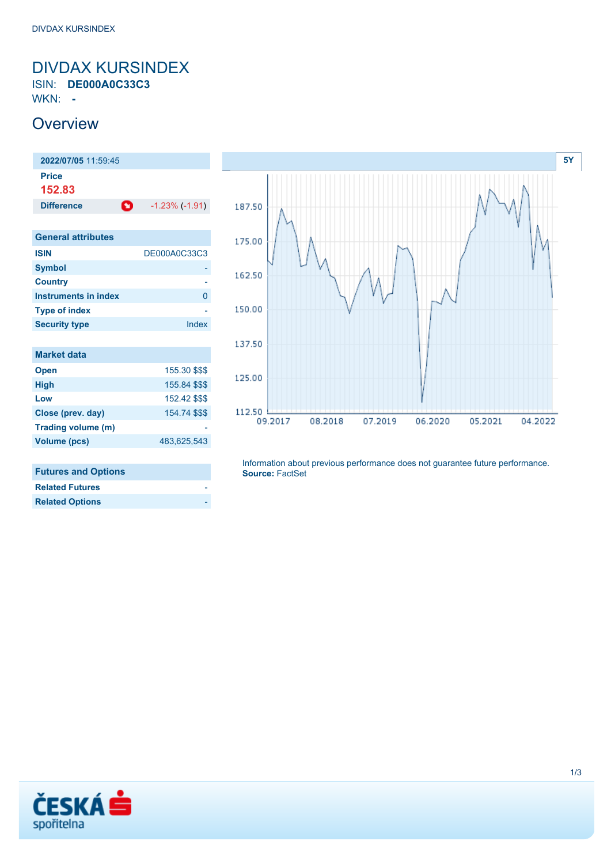### <span id="page-0-0"></span>DIVDAX KURSINDEX ISIN: **DE000A0C33C3**

WKN: **-**

### **Overview**

| 2022/07/05 11:59:45         |                       |
|-----------------------------|-----------------------|
| <b>Price</b>                |                       |
| 152.83                      |                       |
| O<br><b>Difference</b>      | $-1.23\%$ ( $-1.91$ ) |
|                             |                       |
| <b>General attributes</b>   |                       |
| <b>ISIN</b>                 | DE000A0C33C3          |
| <b>Symbol</b>               |                       |
| <b>Country</b>              |                       |
| <b>Instruments in index</b> | 0                     |
| <b>Type of index</b>        |                       |
| <b>Security type</b>        | Index                 |
|                             |                       |
| <b>Market data</b>          |                       |
| <b>Open</b>                 | 155.30 \$\$\$         |
| <b>High</b>                 | 155.84 \$\$\$         |
| Low                         | 152.42 \$\$\$         |
| Close (prev. day)           | 154.74 \$\$\$         |
| Trading volume (m)          |                       |
| <b>Volume (pcs)</b>         | 483,625,543           |
|                             |                       |



#### **Futures and Options**

| <b>Related Futures</b> |  |
|------------------------|--|
| <b>Related Options</b> |  |

Information about previous performance does not guarantee future performance. **Source:** FactSet

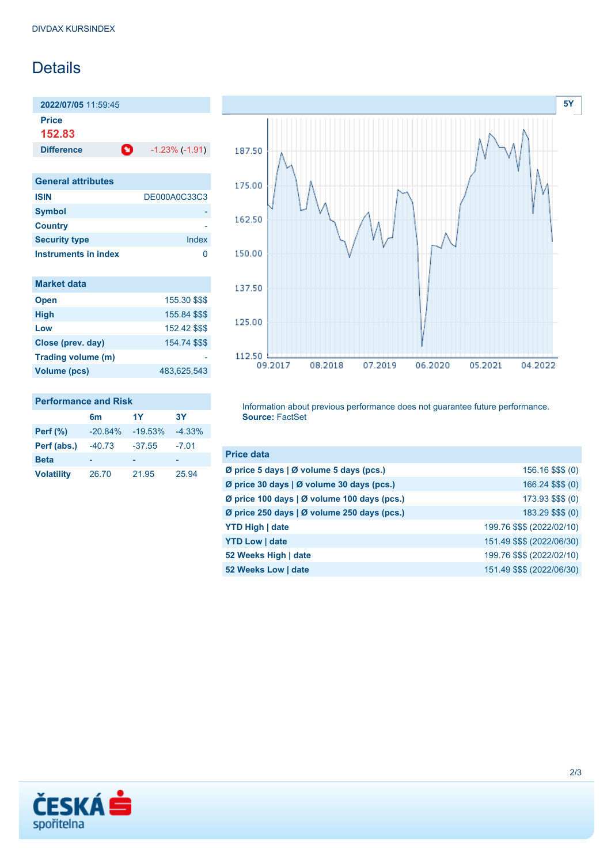## Details

**2022/07/05** 11:59:45 **Price**

**152.83**

**Difference 1.23% (-1.91)** 

| <b>General attributes</b>   |              |
|-----------------------------|--------------|
| <b>ISIN</b>                 | DE000A0C33C3 |
| <b>Symbol</b>               |              |
| <b>Country</b>              |              |
| <b>Security type</b>        | Index        |
| <b>Instruments in index</b> |              |

| <b>Market data</b> |               |
|--------------------|---------------|
| <b>Open</b>        | 155.30 \$\$\$ |
| <b>High</b>        | 155.84 \$\$\$ |
| Low                | 152.42 \$\$\$ |
| Close (prev. day)  | 154.74 \$\$\$ |
| Trading volume (m) |               |
| Volume (pcs)       | 483,625,543   |



#### **Performance and Risk 6m 1Y 3Y Perf (%)** -20.84% -19.53% -4.33% **Perf (abs.)** -40.73 -37.55 -7.01 **Beta** - - - - - - - -

**Volatility** 26.70 21.95 25.94

Information about previous performance does not guarantee future performance. **Source:** FactSet

| <b>Price data</b>                           |                            |
|---------------------------------------------|----------------------------|
| Ø price 5 days   Ø volume 5 days (pcs.)     | 156.16 \$\$\$ (0)          |
| Ø price 30 days   Ø volume 30 days (pcs.)   | 166.24 \$\$\$ (0)          |
| Ø price 100 days   Ø volume 100 days (pcs.) | 173.93 \$\$\$ (0)          |
| Ø price 250 days   Ø volume 250 days (pcs.) | 183.29 \$\$\$ (0)          |
| <b>YTD High   date</b>                      | 199.76 \$\$\$ (2022/02/10) |
| <b>YTD Low   date</b>                       | 151.49 \$\$\$ (2022/06/30) |
| 52 Weeks High   date                        | 199.76 \$\$\$ (2022/02/10) |
| 52 Weeks Low   date                         | 151.49 \$\$\$ (2022/06/30) |